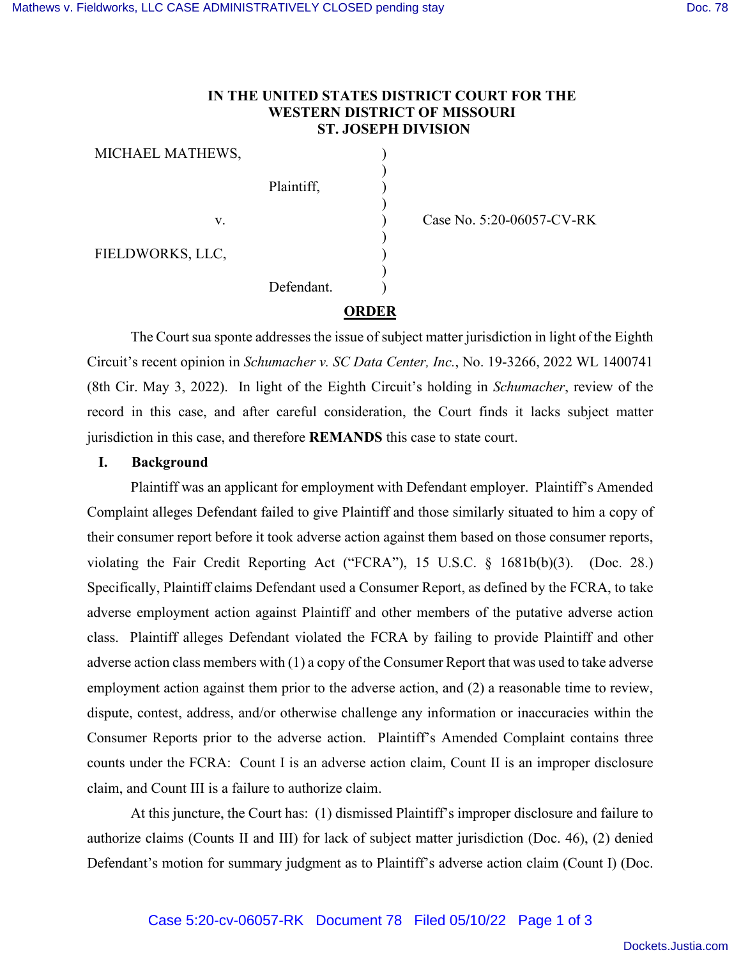v.

## **IN THE UNITED STATES DISTRICT COURT FOR THE WESTERN DISTRICT OF MISSOURI ST. JOSEPH DIVISION**

) ) ) ) ) ) ) ) )

MICHAEL MATHEWS,

FIELDWORKS, LLC,

Plaintiff, Defendant.

Case No. 5:20-06057-CV-RK

**ORDER**

The Court sua sponte addresses the issue of subject matter jurisdiction in light of the Eighth Circuit's recent opinion in *Schumacher v. SC Data Center, Inc.*, No. 19-3266, 2022 WL 1400741 (8th Cir. May 3, 2022). In light of the Eighth Circuit's holding in *Schumacher*, review of the record in this case, and after careful consideration, the Court finds it lacks subject matter jurisdiction in this case, and therefore **REMANDS** this case to state court.

## **I. Background**

Plaintiff was an applicant for employment with Defendant employer. Plaintiff's Amended Complaint alleges Defendant failed to give Plaintiff and those similarly situated to him a copy of their consumer report before it took adverse action against them based on those consumer reports, violating the Fair Credit Reporting Act ("FCRA"), 15 U.S.C. § 1681b(b)(3). (Doc. 28.) Specifically, Plaintiff claims Defendant used a Consumer Report, as defined by the FCRA, to take adverse employment action against Plaintiff and other members of the putative adverse action class. Plaintiff alleges Defendant violated the FCRA by failing to provide Plaintiff and other adverse action class members with (1) a copy of the Consumer Report that was used to take adverse employment action against them prior to the adverse action, and (2) a reasonable time to review, dispute, contest, address, and/or otherwise challenge any information or inaccuracies within the Consumer Reports prior to the adverse action. Plaintiff's Amended Complaint contains three counts under the FCRA: Count I is an adverse action claim, Count II is an improper disclosure claim, and Count III is a failure to authorize claim.

At this juncture, the Court has: (1) dismissed Plaintiff's improper disclosure and failure to authorize claims (Counts II and III) for lack of subject matter jurisdiction (Doc. 46), (2) denied Defendant's motion for summary judgment as to Plaintiff's adverse action claim (Count I) (Doc.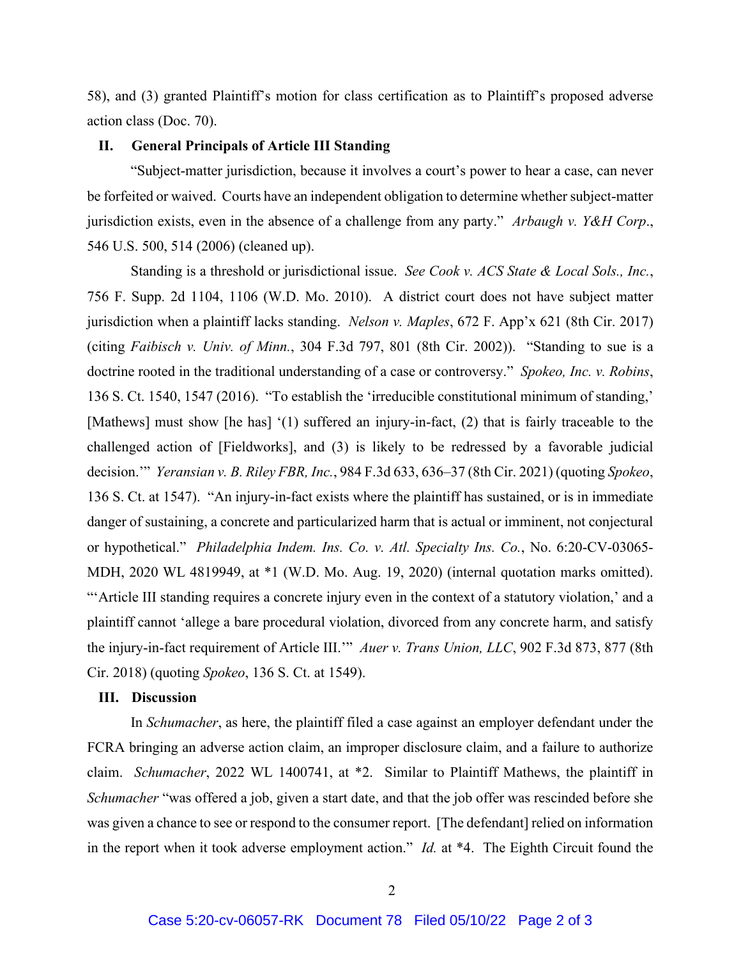58), and (3) granted Plaintiff's motion for class certification as to Plaintiff's proposed adverse action class (Doc. 70).

## **II. General Principals of Article III Standing**

"Subject-matter jurisdiction, because it involves a court's power to hear a case, can never be forfeited or waived. Courts have an independent obligation to determine whether subject-matter jurisdiction exists, even in the absence of a challenge from any party." *Arbaugh v. Y&H Corp*., 546 U.S. 500, 514 (2006) (cleaned up).

Standing is a threshold or jurisdictional issue. *See Cook v. ACS State & Local Sols., Inc.*, 756 F. Supp. 2d 1104, 1106 (W.D. Mo. 2010). A district court does not have subject matter jurisdiction when a plaintiff lacks standing. *Nelson v. Maples*, 672 F. App'x 621 (8th Cir. 2017) (citing *Faibisch v. Univ. of Minn.*, 304 F.3d 797, 801 (8th Cir. 2002)). "Standing to sue is a doctrine rooted in the traditional understanding of a case or controversy." *Spokeo, Inc. v. Robins*, 136 S. Ct. 1540, 1547 (2016). "To establish the 'irreducible constitutional minimum of standing,' [Mathews] must show [he has] '(1) suffered an injury-in-fact, (2) that is fairly traceable to the challenged action of [Fieldworks], and (3) is likely to be redressed by a favorable judicial decision.'" *Yeransian v. B. Riley FBR, Inc.*, 984 F.3d 633, 636–37 (8th Cir. 2021) (quoting *Spokeo*, 136 S. Ct. at 1547). "An injury-in-fact exists where the plaintiff has sustained, or is in immediate danger of sustaining, a concrete and particularized harm that is actual or imminent, not conjectural or hypothetical." *Philadelphia Indem. Ins. Co. v. Atl. Specialty Ins. Co.*, No. 6:20-CV-03065- MDH, 2020 WL 4819949, at \*1 (W.D. Mo. Aug. 19, 2020) (internal quotation marks omitted). "'Article III standing requires a concrete injury even in the context of a statutory violation,' and a plaintiff cannot 'allege a bare procedural violation, divorced from any concrete harm, and satisfy the injury-in-fact requirement of Article III.'" *Auer v. Trans Union, LLC*, 902 F.3d 873, 877 (8th Cir. 2018) (quoting *Spokeo*, 136 S. Ct. at 1549).

## **III. Discussion**

In *Schumacher*, as here, the plaintiff filed a case against an employer defendant under the FCRA bringing an adverse action claim, an improper disclosure claim, and a failure to authorize claim. *Schumacher*, 2022 WL 1400741, at \*2. Similar to Plaintiff Mathews, the plaintiff in *Schumacher* "was offered a job, given a start date, and that the job offer was rescinded before she was given a chance to see or respond to the consumer report. [The defendant] relied on information in the report when it took adverse employment action." *Id.* at \*4. The Eighth Circuit found the